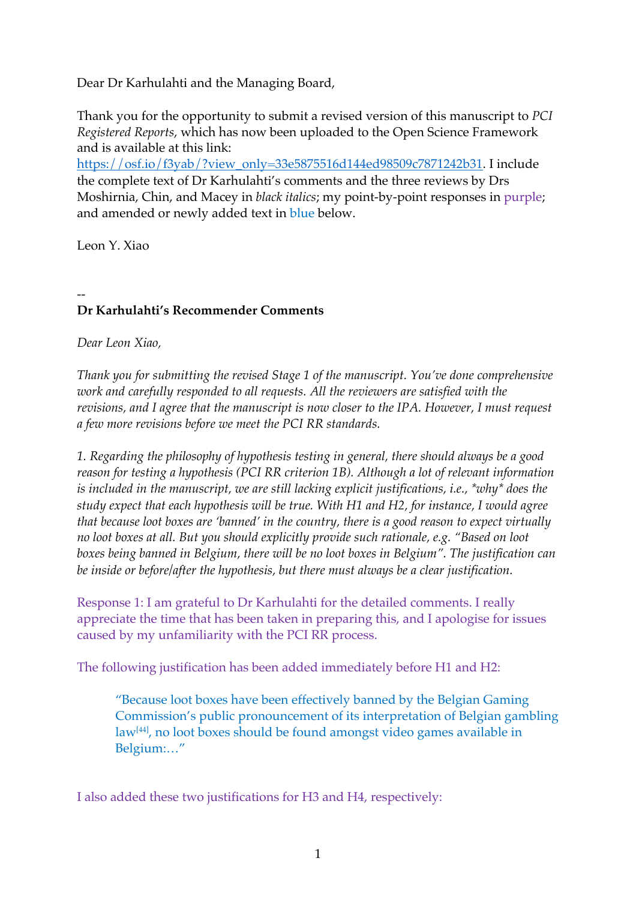Dear Dr Karhulahti and the Managing Board,

Thank you for the opportunity to submit a revised version of this manuscript to *PCI Registered Reports*, which has now been uploaded to the Open Science Framework and is available at this link:

https://osf.io/f3yab/?view\_only=33e5875516d144ed98509c7871242b31. I include the complete text of Dr Karhulahti's comments and the three reviews by Drs Moshirnia, Chin, and Macey in *black italics*; my point-by-point responses in purple; and amended or newly added text in blue below.

Leon Y. Xiao

## -- **Dr Karhulahti's Recommender Comments**

*Dear Leon Xiao,*

*Thank you for submitting the revised Stage 1 of the manuscript. You've done comprehensive work and carefully responded to all requests. All the reviewers are satisfied with the revisions, and I agree that the manuscript is now closer to the IPA. However, I must request a few more revisions before we meet the PCI RR standards.* 

*1. Regarding the philosophy of hypothesis testing in general, there should always be a good reason for testing a hypothesis (PCI RR criterion 1B). Although a lot of relevant information is included in the manuscript, we are still lacking explicit justifications, i.e., \*why\* does the study expect that each hypothesis will be true. With H1 and H2, for instance, I would agree that because loot boxes are 'banned' in the country, there is a good reason to expect virtually no loot boxes at all. But you should explicitly provide such rationale, e.g. "Based on loot boxes being banned in Belgium, there will be no loot boxes in Belgium". The justification can be inside or before/after the hypothesis, but there must always be a clear justification.* 

Response 1: I am grateful to Dr Karhulahti for the detailed comments. I really appreciate the time that has been taken in preparing this, and I apologise for issues caused by my unfamiliarity with the PCI RR process.

The following justification has been added immediately before H1 and H2:

"Because loot boxes have been effectively banned by the Belgian Gaming Commission's public pronouncement of its interpretation of Belgian gambling law[44], no loot boxes should be found amongst video games available in Belgium:…"

I also added these two justifications for H3 and H4, respectively: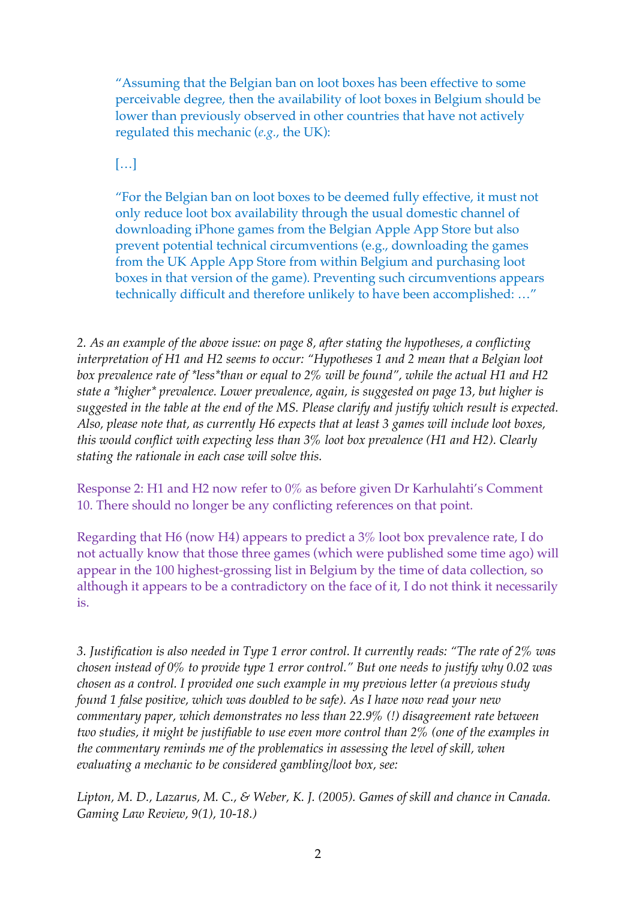"Assuming that the Belgian ban on loot boxes has been effective to some perceivable degree, then the availability of loot boxes in Belgium should be lower than previously observed in other countries that have not actively regulated this mechanic (*e.g.*, the UK):

 $[...]$ 

"For the Belgian ban on loot boxes to be deemed fully effective, it must not only reduce loot box availability through the usual domestic channel of downloading iPhone games from the Belgian Apple App Store but also prevent potential technical circumventions (e.g., downloading the games from the UK Apple App Store from within Belgium and purchasing loot boxes in that version of the game). Preventing such circumventions appears technically difficult and therefore unlikely to have been accomplished: …"

*2. As an example of the above issue: on page 8, after stating the hypotheses, a conflicting interpretation of H1 and H2 seems to occur: "Hypotheses 1 and 2 mean that a Belgian loot box prevalence rate of \*less\*than or equal to 2% will be found", while the actual H1 and H2 state a \*higher\* prevalence. Lower prevalence, again, is suggested on page 13, but higher is suggested in the table at the end of the MS. Please clarify and justify which result is expected. Also, please note that, as currently H6 expects that at least 3 games will include loot boxes, this would conflict with expecting less than 3% loot box prevalence (H1 and H2). Clearly stating the rationale in each case will solve this.*

Response 2: H1 and H2 now refer to 0% as before given Dr Karhulahti's Comment 10. There should no longer be any conflicting references on that point.

Regarding that H6 (now H4) appears to predict a 3% loot box prevalence rate, I do not actually know that those three games (which were published some time ago) will appear in the 100 highest-grossing list in Belgium by the time of data collection, so although it appears to be a contradictory on the face of it, I do not think it necessarily is.

*3. Justification is also needed in Type 1 error control. It currently reads: "The rate of 2% was chosen instead of 0% to provide type 1 error control." But one needs to justify why 0.02 was chosen as a control. I provided one such example in my previous letter (a previous study found 1 false positive, which was doubled to be safe). As I have now read your new commentary paper, which demonstrates no less than 22.9% (!) disagreement rate between two studies, it might be justifiable to use even more control than 2% (one of the examples in the commentary reminds me of the problematics in assessing the level of skill, when evaluating a mechanic to be considered gambling/loot box, see:*

*Lipton, M. D., Lazarus, M. C., & Weber, K. J. (2005). Games of skill and chance in Canada. Gaming Law Review, 9(1), 10-18.)*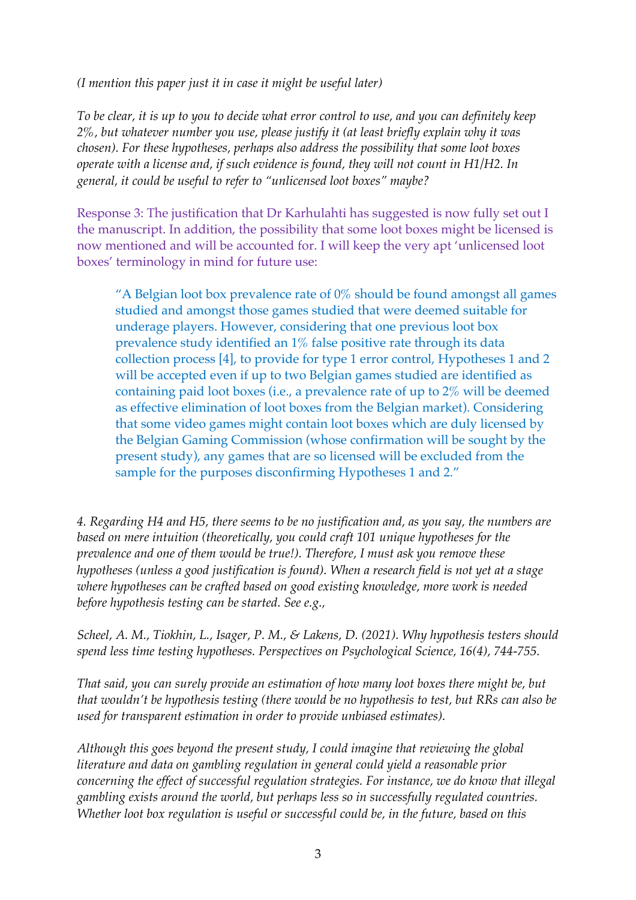*(I mention this paper just it in case it might be useful later)*

*To be clear, it is up to you to decide what error control to use, and you can definitely keep 2%, but whatever number you use, please justify it (at least briefly explain why it was chosen). For these hypotheses, perhaps also address the possibility that some loot boxes operate with a license and, if such evidence is found, they will not count in H1/H2. In general, it could be useful to refer to "unlicensed loot boxes" maybe?* 

Response 3: The justification that Dr Karhulahti has suggested is now fully set out I the manuscript. In addition, the possibility that some loot boxes might be licensed is now mentioned and will be accounted for. I will keep the very apt 'unlicensed loot boxes' terminology in mind for future use:

"A Belgian loot box prevalence rate of  $0\%$  should be found amongst all games studied and amongst those games studied that were deemed suitable for underage players. However, considering that one previous loot box prevalence study identified an 1% false positive rate through its data collection process [4], to provide for type 1 error control, Hypotheses 1 and 2 will be accepted even if up to two Belgian games studied are identified as containing paid loot boxes (i.e., a prevalence rate of up to 2% will be deemed as effective elimination of loot boxes from the Belgian market). Considering that some video games might contain loot boxes which are duly licensed by the Belgian Gaming Commission (whose confirmation will be sought by the present study), any games that are so licensed will be excluded from the sample for the purposes disconfirming Hypotheses 1 and 2."

*4. Regarding H4 and H5, there seems to be no justification and, as you say, the numbers are based on mere intuition (theoretically, you could craft 101 unique hypotheses for the prevalence and one of them would be true!). Therefore, I must ask you remove these hypotheses (unless a good justification is found). When a research field is not yet at a stage where hypotheses can be crafted based on good existing knowledge, more work is needed before hypothesis testing can be started. See e.g.,* 

*Scheel, A. M., Tiokhin, L., Isager, P. M., & Lakens, D. (2021). Why hypothesis testers should spend less time testing hypotheses. Perspectives on Psychological Science, 16(4), 744-755.*

*That said, you can surely provide an estimation of how many loot boxes there might be, but that wouldn't be hypothesis testing (there would be no hypothesis to test, but RRs can also be used for transparent estimation in order to provide unbiased estimates).* 

*Although this goes beyond the present study, I could imagine that reviewing the global literature and data on gambling regulation in general could yield a reasonable prior concerning the effect of successful regulation strategies. For instance, we do know that illegal gambling exists around the world, but perhaps less so in successfully regulated countries. Whether loot box regulation is useful or successful could be, in the future, based on this*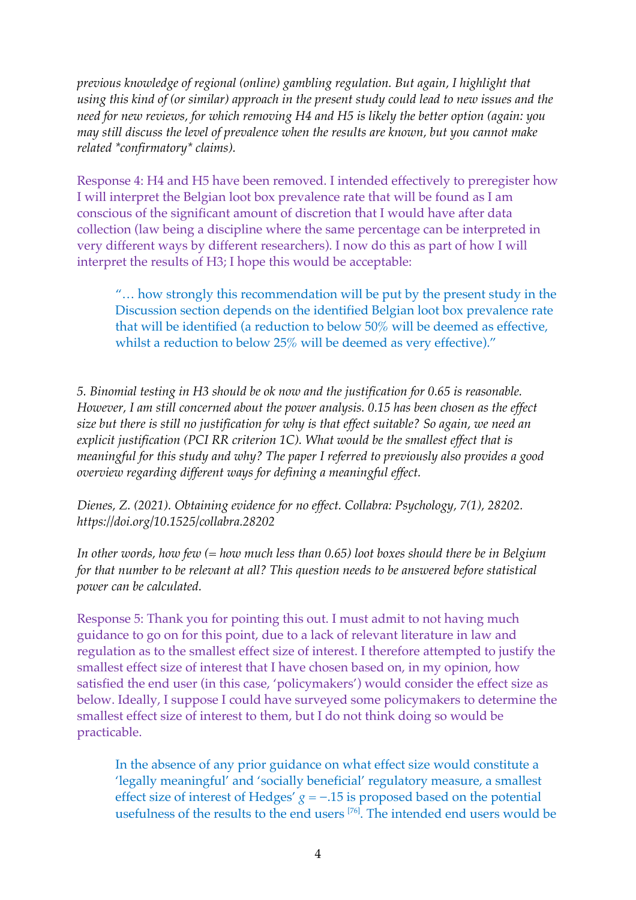*previous knowledge of regional (online) gambling regulation. But again, I highlight that using this kind of (or similar) approach in the present study could lead to new issues and the need for new reviews, for which removing H4 and H5 is likely the better option (again: you may still discuss the level of prevalence when the results are known, but you cannot make related \*confirmatory\* claims).*

Response 4: H4 and H5 have been removed. I intended effectively to preregister how I will interpret the Belgian loot box prevalence rate that will be found as I am conscious of the significant amount of discretion that I would have after data collection (law being a discipline where the same percentage can be interpreted in very different ways by different researchers). I now do this as part of how I will interpret the results of H3; I hope this would be acceptable:

"… how strongly this recommendation will be put by the present study in the Discussion section depends on the identified Belgian loot box prevalence rate that will be identified (a reduction to below 50% will be deemed as effective, whilst a reduction to below 25% will be deemed as very effective)."

*5. Binomial testing in H3 should be ok now and the justification for 0.65 is reasonable. However, I am still concerned about the power analysis. 0.15 has been chosen as the effect size but there is still no justification for why is that effect suitable? So again, we need an explicit justification (PCI RR criterion 1C). What would be the smallest effect that is meaningful for this study and why? The paper I referred to previously also provides a good overview regarding different ways for defining a meaningful effect.* 

*Dienes, Z. (2021). Obtaining evidence for no effect. Collabra: Psychology, 7(1), 28202. https://doi.org/10.1525/collabra.28202*

*In other words, how few (= how much less than 0.65) loot boxes should there be in Belgium for that number to be relevant at all? This question needs to be answered before statistical power can be calculated.* 

Response 5: Thank you for pointing this out. I must admit to not having much guidance to go on for this point, due to a lack of relevant literature in law and regulation as to the smallest effect size of interest. I therefore attempted to justify the smallest effect size of interest that I have chosen based on, in my opinion, how satisfied the end user (in this case, 'policymakers') would consider the effect size as below. Ideally, I suppose I could have surveyed some policymakers to determine the smallest effect size of interest to them, but I do not think doing so would be practicable.

In the absence of any prior guidance on what effect size would constitute a 'legally meaningful' and 'socially beneficial' regulatory measure, a smallest effect size of interest of Hedges' *g* = −.15 is proposed based on the potential usefulness of the results to the end users [76]. The intended end users would be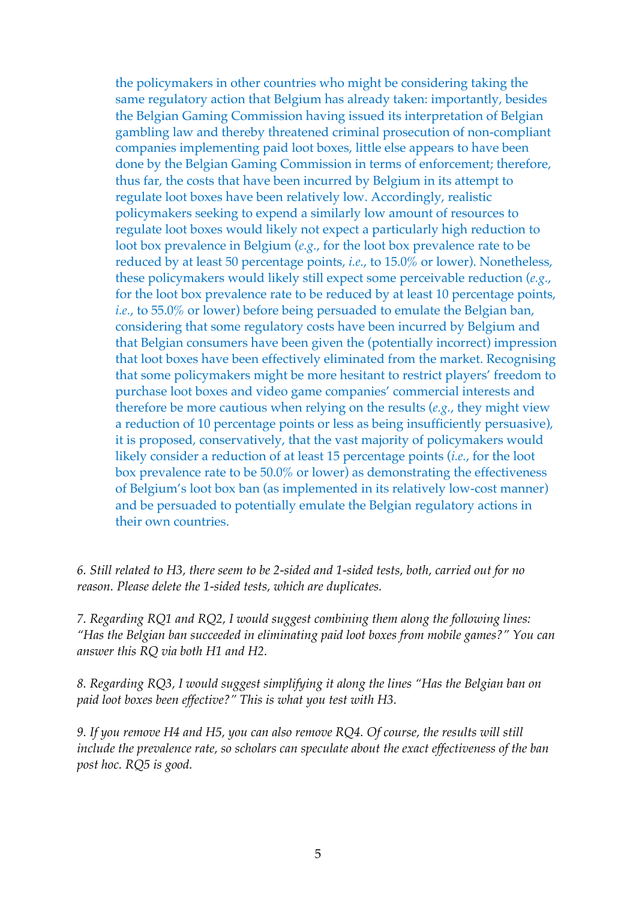the policymakers in other countries who might be considering taking the same regulatory action that Belgium has already taken: importantly, besides the Belgian Gaming Commission having issued its interpretation of Belgian gambling law and thereby threatened criminal prosecution of non-compliant companies implementing paid loot boxes, little else appears to have been done by the Belgian Gaming Commission in terms of enforcement; therefore, thus far, the costs that have been incurred by Belgium in its attempt to regulate loot boxes have been relatively low. Accordingly, realistic policymakers seeking to expend a similarly low amount of resources to regulate loot boxes would likely not expect a particularly high reduction to loot box prevalence in Belgium (*e.g.*, for the loot box prevalence rate to be reduced by at least 50 percentage points, *i.e.*, to 15.0% or lower). Nonetheless, these policymakers would likely still expect some perceivable reduction (*e.g.*, for the loot box prevalence rate to be reduced by at least 10 percentage points, *i.e.*, to 55.0% or lower) before being persuaded to emulate the Belgian ban, considering that some regulatory costs have been incurred by Belgium and that Belgian consumers have been given the (potentially incorrect) impression that loot boxes have been effectively eliminated from the market. Recognising that some policymakers might be more hesitant to restrict players' freedom to purchase loot boxes and video game companies' commercial interests and therefore be more cautious when relying on the results (*e.g.*, they might view a reduction of 10 percentage points or less as being insufficiently persuasive), it is proposed, conservatively, that the vast majority of policymakers would likely consider a reduction of at least 15 percentage points (*i.e.*, for the loot box prevalence rate to be 50.0% or lower) as demonstrating the effectiveness of Belgium's loot box ban (as implemented in its relatively low-cost manner) and be persuaded to potentially emulate the Belgian regulatory actions in their own countries.

*6. Still related to H3, there seem to be 2-sided and 1-sided tests, both, carried out for no reason. Please delete the 1-sided tests, which are duplicates.*

*7. Regarding RQ1 and RQ2, I would suggest combining them along the following lines: "Has the Belgian ban succeeded in eliminating paid loot boxes from mobile games?" You can answer this RQ via both H1 and H2.* 

*8. Regarding RQ3, I would suggest simplifying it along the lines "Has the Belgian ban on paid loot boxes been effective?" This is what you test with H3.* 

*9. If you remove H4 and H5, you can also remove RQ4. Of course, the results will still include the prevalence rate, so scholars can speculate about the exact effectiveness of the ban post hoc. RQ5 is good.*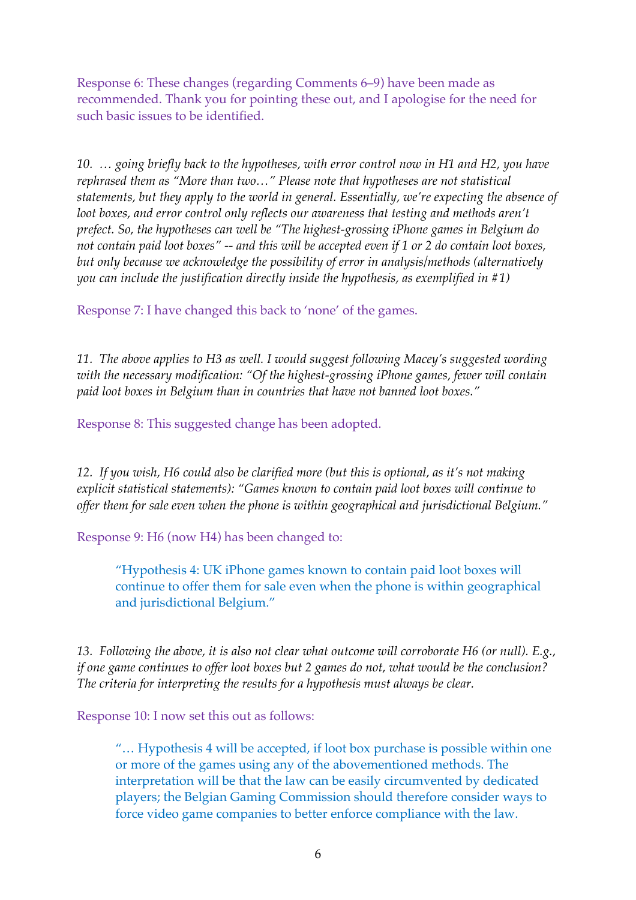Response 6: These changes (regarding Comments 6–9) have been made as recommended. Thank you for pointing these out, and I apologise for the need for such basic issues to be identified.

*10. … going briefly back to the hypotheses, with error control now in H1 and H2, you have rephrased them as "More than two…" Please note that hypotheses are not statistical statements, but they apply to the world in general. Essentially, we're expecting the absence of loot boxes, and error control only reflects our awareness that testing and methods aren't prefect. So, the hypotheses can well be "The highest-grossing iPhone games in Belgium do not contain paid loot boxes" -- and this will be accepted even if 1 or 2 do contain loot boxes, but only because we acknowledge the possibility of error in analysis/methods (alternatively you can include the justification directly inside the hypothesis, as exemplified in #1)*

Response 7: I have changed this back to 'none' of the games.

*11. The above applies to H3 as well. I would suggest following Macey's suggested wording with the necessary modification: "Of the highest-grossing iPhone games, fewer will contain paid loot boxes in Belgium than in countries that have not banned loot boxes."*

Response 8: This suggested change has been adopted.

*12. If you wish, H6 could also be clarified more (but this is optional, as it's not making explicit statistical statements): "Games known to contain paid loot boxes will continue to offer them for sale even when the phone is within geographical and jurisdictional Belgium."*

Response 9: H6 (now H4) has been changed to:

"Hypothesis 4: UK iPhone games known to contain paid loot boxes will continue to offer them for sale even when the phone is within geographical and jurisdictional Belgium."

*13. Following the above, it is also not clear what outcome will corroborate H6 (or null). E.g., if one game continues to offer loot boxes but 2 games do not, what would be the conclusion? The criteria for interpreting the results for a hypothesis must always be clear.*

Response 10: I now set this out as follows:

"… Hypothesis 4 will be accepted, if loot box purchase is possible within one or more of the games using any of the abovementioned methods. The interpretation will be that the law can be easily circumvented by dedicated players; the Belgian Gaming Commission should therefore consider ways to force video game companies to better enforce compliance with the law.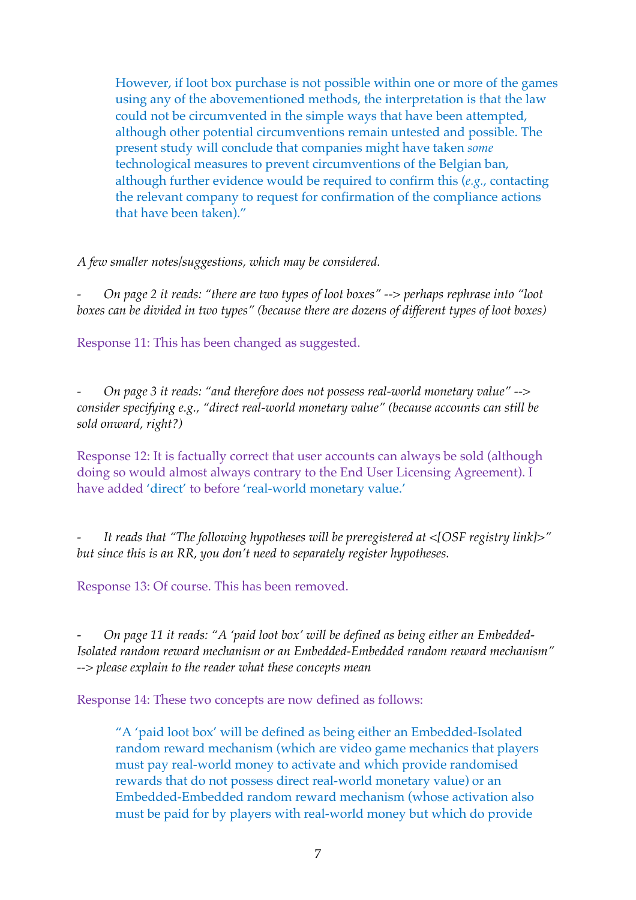However, if loot box purchase is not possible within one or more of the games using any of the abovementioned methods, the interpretation is that the law could not be circumvented in the simple ways that have been attempted, although other potential circumventions remain untested and possible. The present study will conclude that companies might have taken *some* technological measures to prevent circumventions of the Belgian ban, although further evidence would be required to confirm this (*e.g.*, contacting the relevant company to request for confirmation of the compliance actions that have been taken)."

*A few smaller notes/suggestions, which may be considered.*

*- On page 2 it reads: "there are two types of loot boxes" --> perhaps rephrase into "loot boxes can be divided in two types" (because there are dozens of different types of loot boxes)*

Response 11: This has been changed as suggested.

*- On page 3 it reads: "and therefore does not possess real-world monetary value" --> consider specifying e.g., "direct real-world monetary value" (because accounts can still be sold onward, right?)*

Response 12: It is factually correct that user accounts can always be sold (although doing so would almost always contrary to the End User Licensing Agreement). I have added 'direct' to before 'real-world monetary value.'

*- It reads that "The following hypotheses will be preregistered at <[OSF registry link]>" but since this is an RR, you don't need to separately register hypotheses.*

Response 13: Of course. This has been removed.

*- On page 11 it reads: "A 'paid loot box' will be defined as being either an Embedded-Isolated random reward mechanism or an Embedded-Embedded random reward mechanism" --> please explain to the reader what these concepts mean*

Response 14: These two concepts are now defined as follows:

"A 'paid loot box' will be defined as being either an Embedded-Isolated random reward mechanism (which are video game mechanics that players must pay real-world money to activate and which provide randomised rewards that do not possess direct real-world monetary value) or an Embedded-Embedded random reward mechanism (whose activation also must be paid for by players with real-world money but which do provide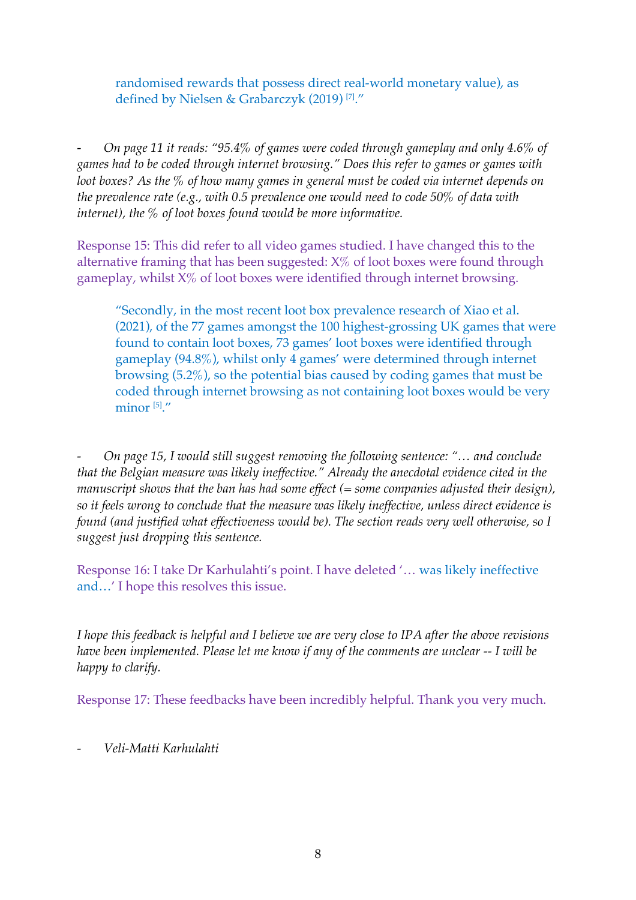randomised rewards that possess direct real-world monetary value), as defined by Nielsen & Grabarczyk (2019)<sup>[7]</sup>."

*- On page 11 it reads: "95.4% of games were coded through gameplay and only 4.6% of games had to be coded through internet browsing." Does this refer to games or games with loot boxes? As the % of how many games in general must be coded via internet depends on the prevalence rate (e.g., with 0.5 prevalence one would need to code 50% of data with internet), the % of loot boxes found would be more informative.*

Response 15: This did refer to all video games studied. I have changed this to the alternative framing that has been suggested: X% of loot boxes were found through gameplay, whilst  $X\%$  of loot boxes were identified through internet browsing.

"Secondly, in the most recent loot box prevalence research of Xiao et al. (2021), of the 77 games amongst the 100 highest-grossing UK games that were found to contain loot boxes, 73 games' loot boxes were identified through gameplay (94.8%), whilst only 4 games' were determined through internet browsing (5.2%), so the potential bias caused by coding games that must be coded through internet browsing as not containing loot boxes would be very minor  $[5]'$ .

*- On page 15, I would still suggest removing the following sentence: "… and conclude that the Belgian measure was likely ineffective." Already the anecdotal evidence cited in the manuscript shows that the ban has had some effect (= some companies adjusted their design), so it feels wrong to conclude that the measure was likely ineffective, unless direct evidence is found (and justified what effectiveness would be). The section reads very well otherwise, so I suggest just dropping this sentence.* 

Response 16: I take Dr Karhulahti's point. I have deleted '… was likely ineffective and…' I hope this resolves this issue.

*I hope this feedback is helpful and I believe we are very close to IPA after the above revisions have been implemented. Please let me know if any of the comments are unclear -- I will be happy to clarify.*

Response 17: These feedbacks have been incredibly helpful. Thank you very much.

*- Veli-Matti Karhulahti*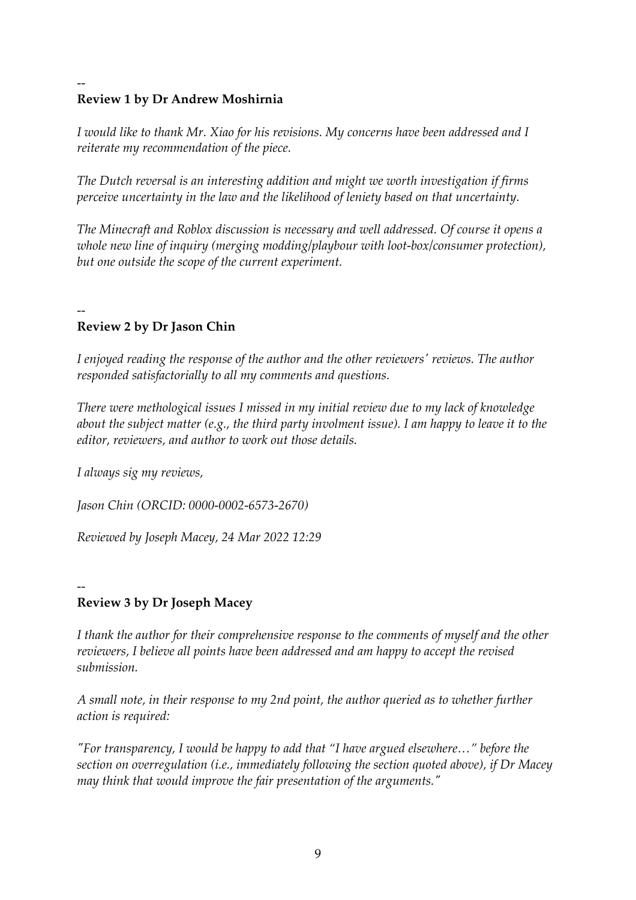## -- **Review 1 by Dr Andrew Moshirnia**

*I would like to thank Mr. Xiao for his revisions. My concerns have been addressed and I reiterate my recommendation of the piece.* 

*The Dutch reversal is an interesting addition and might we worth investigation if firms perceive uncertainty in the law and the likelihood of leniety based on that uncertainty.* 

*The Minecraft and Roblox discussion is necessary and well addressed. Of course it opens a whole new line of inquiry (merging modding/playbour with loot-box/consumer protection), but one outside the scope of the current experiment.* 

## -- **Review 2 by Dr Jason Chin**

*I enjoyed reading the response of the author and the other reviewers' reviews. The author responded satisfactorially to all my comments and questions.* 

*There were methological issues I missed in my initial review due to my lack of knowledge about the subject matter (e.g., the third party involment issue). I am happy to leave it to the editor, reviewers, and author to work out those details.*

*I always sig my reviews,*

*Jason Chin (ORCID: 0000-0002-6573-2670)*

*Reviewed by Joseph Macey, 24 Mar 2022 12:29*

## -- **Review 3 by Dr Joseph Macey**

*I thank the author for their comprehensive response to the comments of myself and the other reviewers, I believe all points have been addressed and am happy to accept the revised submission.*

*A small note, in their response to my 2nd point, the author queried as to whether further action is required:*

*"For transparency, I would be happy to add that "I have argued elsewhere…" before the section on overregulation (i.e., immediately following the section quoted above), if Dr Macey may think that would improve the fair presentation of the arguments."*